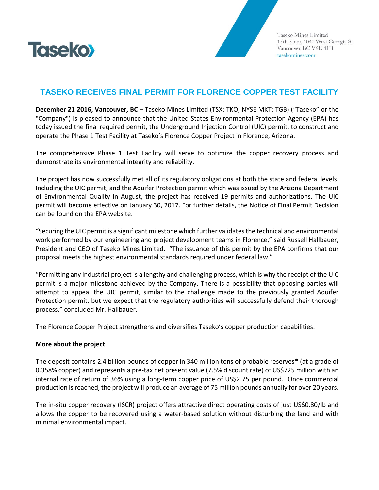

Taseko Mines Limited 15th Floor, 1040 West Georgia St. Vancouver, BC V6E 4H1 tasekomines.com

## **TASEKO RECEIVES FINAL PERMIT FOR FLORENCE COPPER TEST FACILITY**

**December 21 2016, Vancouver, BC** – Taseko Mines Limited (TSX: TKO; NYSE MKT: TGB) ("Taseko" or the "Company") is pleased to announce that the United States Environmental Protection Agency (EPA) has today issued the final required permit, the Underground Injection Control (UIC) permit, to construct and operate the Phase 1 Test Facility at Taseko's Florence Copper Project in Florence, Arizona.

The comprehensive Phase 1 Test Facility will serve to optimize the copper recovery process and demonstrate its environmental integrity and reliability.

The project has now successfully met all of its regulatory obligations at both the state and federal levels. Including the UIC permit, and the Aquifer Protection permit which was issued by the Arizona Department of Environmental Quality in August, the project has received 19 permits and authorizations. The UIC permit will become effective on January 30, 2017. For further details, the Notice of Final Permit Decision can be found on the EPA website.

"Securing the UIC permit is a significant milestone which further validates the technical and environmental work performed by our engineering and project development teams in Florence," said Russell Hallbauer, President and CEO of Taseko Mines Limited. "The issuance of this permit by the EPA confirms that our proposal meets the highest environmental standards required under federal law."

"Permitting any industrial project is a lengthy and challenging process, which is why the receipt of the UIC permit is a major milestone achieved by the Company. There is a possibility that opposing parties will attempt to appeal the UIC permit, similar to the challenge made to the previously granted Aquifer Protection permit, but we expect that the regulatory authorities will successfully defend their thorough process," concluded Mr. Hallbauer.

The Florence Copper Project strengthens and diversifies Taseko's copper production capabilities.

## **More about the project**

The deposit contains 2.4 billion pounds of copper in 340 million tons of probable reserves\* (at a grade of 0.358% copper) and represents a pre-tax net present value (7.5% discount rate) of US\$725 million with an internal rate of return of 36% using a long-term copper price of US\$2.75 per pound. Once commercial production is reached, the project will produce an average of 75 million pounds annually for over 20 years.

The in-situ copper recovery (ISCR) project offers attractive direct operating costs of just US\$0.80/lb and allows the copper to be recovered using a water-based solution without disturbing the land and with minimal environmental impact.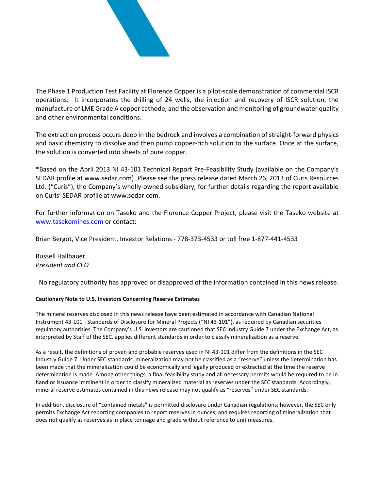

The Phase 1 Production Test Facility at Florence Copper is a pilot-scale demonstration of commercial ISCR operations. It incorporates the drilling of 24 wells, the injection and recovery of ISCR solution, the manufacture of LME Grade A copper cathode, and the observation and monitoring of groundwater quality and other environmental conditions.

The extraction process occurs deep in the bedrock and involves a combination of straight-forward physics and basic chemistry to dissolve and then pump copper-rich solution to the surface. Once at the surface, the solution is converted into sheets of pure copper.

\*Based on the April 2013 NI 43-101 Technical Report Pre-Feasibility Study (available on the Company's SEDAR profile at www.sedar.com). Please see the press release dated March 26, 2013 of Curis Resources Ltd. ("Curis"), the Company's wholly-owned subsidiary, for further details regarding the report available on Curis' SEDAR profile at www.sedar.com.

For further information on Taseko and the Florence Copper Project, please visit the Taseko website at [www.tasekomines.com](http://www.tasekomines.com/) or contact:

Brian Bergot, Vice President, Investor Relations - 778-373-4533 or toll free 1-877-441-4533

Russell Hallbauer *President and CEO*

No regulatory authority has approved or disapproved of the information contained in this news release.

## **Cautionary Note to U.S. Investors Concerning Reserve Estimates**

The mineral reserves disclosed in this news release have been estimated in accordance with Canadian National Instrument 43‐101 ‐ Standards of Disclosure for Mineral Projects ("NI 43‐101"), as required by Canadian securities regulatory authorities. The Company's U.S. investors are cautioned that SEC Industry Guide 7 under the Exchange Act, as interpreted by Staff of the SEC, applies different standards in order to classify mineralization as a reserve.

As a result, the definitions of proven and probable reserves used in NI 43-101 differ from the definitions in the SEC Industry Guide 7. Under SEC standards, mineralization may not be classified as a "reserve" unless the determination has been made that the mineralization could be economically and legally produced or extracted at the time the reserve determination is made. Among other things, a final feasibility study and all necessary permits would be required to be in hand or issuance imminent in order to classify mineralized material as reserves under the SEC standards. Accordingly, mineral reserve estimates contained in this news release may not qualify as "reserves" under SEC standards.

In addition, disclosure of "contained metals" is permitted disclosure under Canadian regulations; however, the SEC only permits Exchange Act reporting companies to report reserves in ounces, and requires reporting of mineralization that does not qualify as reserves as in place tonnage and grade without reference to unit measures.